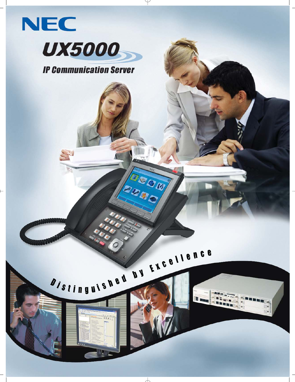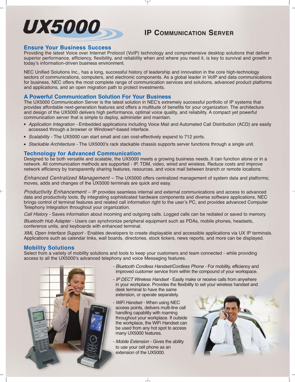## UX5000-

### **IP COMMUNICATION SERVER**

### **Ensure Your Business Success**

Providing the latest Voice over Internet ProtocoI (VoIP) technology and comprehensive desktop solutions that deliver superior performance, efficiency, flexibility, and reliability when and where you need it, is key to survival and growth in today's information-driven business environment.

NEC Unified Solutions Inc., has a long, successful history of leadership and innovation in the core high-technology sectors of communications, computers, and electronic components. As a global leader in VoIP and data communications for business, NEC offers the most complete range of communication services and solutions, advanced product platforms and applications, and an open migration path to protect investments.

### **A Powerful Communication Solution For Your Business**

The UX5000 Communication Server is the latest solution in NEC's extremely successful portfolio of IP systems that provides affordable next-generation features and offers a multitude of benefits for your organization. The architecture and design of the UX5000 delivers high performance, optimal voice quality, and reliability. A compact yet powerful communication server that is simple to deploy, administer and maintain.

- Application Integration Embedded applications including Voice Mail and Automated Call Distribution (ACD) are easily accessed through a browser or Windows®-based interface.
- Scalability The UX5000 can start small and can cost-effectively expand to 712 ports.
- Stackable Architecture The UX5000's rack stackable chassis supports server functions through a single unit.

### **Technology for Advanced Communication**

Designed to be both versatile and scalable, the UX5000 meets a growing business needs..It can function alone or in a network. All communication methods are supported - IP, TDM, video, wired and wireless. Reduce costs and improve network efficiency by transparently sharing features, resources, and voice mail between branch or remote locations.

Enhanced Centralized Management – The UX5000 offers centralized management of system data and platforms; moves, adds and changes of the UX5000 terminals are quick and easy.

Productivity Enhancement – IP provides seamless internal and external communications and access to advanced data and productivity tools. By integrating sophisticated hardware components and diverse software applications, NEC brings control of terminal features and related call information right to the user's PC, and provides advanced Computer Telephony Integration throughout your organization.

Call History - Saves information about incoming and outgoing calls. Logged calls can be redialed or saved to memory.

Bluetooth Hub Adapter - Users can synchronize peripheral equipment such as PDAs, mobile phones, headsets, conference units, and keyboards with enhanced terminal.

XML Open Interface Support - Enables developers to create displayable and accessible applications via UX IP terminals. Applications such as calendar links, wall boards, directories, stock tickers, news reports, and more can be displayed.

### **Mobility Solutions**

Select from a variety of mobility solutions and tools to keep your customers and team connected - while providing access to all the UX5000's advanced telephony and voice Messaging features.



- Bluetooth Cordless Handset/Cordless Phone For mobility, efficiency and improved customer service from within the compound of your workspace.
- IP DECT Wireless Handset Easily make or receive calls from anywhere in your workplace. Provides the flexibility to set your wireless handset and desk terminal to have the same extension, or operate separately.
- WiFi Handset When using NEC access points, delivers multi-line call handling capability with roaming throughout your workplace. If outside the workplace, the WiFi Handset can be used from any hot spot to access many UX5000 features.
- Mobile Extension Gives the ability to use your cell phone as an extension of the UX5000.

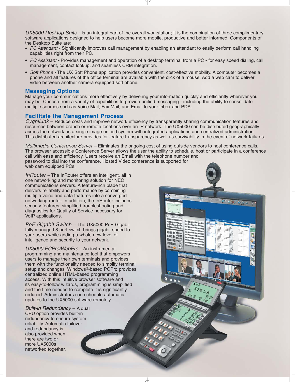UX5000 Desktop Suite - Is an integral part of the overall workstation; It is the combination of three complimentary software applications designed to help users become more mobile, productive and better informed. Components of the Desktop Suite are:

- PC Attendant Significantly improves call management by enabling an attendant to easily perform call handling capabilities right from their PC.
- PC Assistant Provides management and operation of a desktop terminal from a PC for easy speed dialing, call management, contact lookup, and seamless CRM integration.
- Soft Phone The UX Soft Phone application provides convenient, cost-effective mobility. A computer becomes a phone and all features of the office terminal are available with the click of a mouse. Add a web cam to deliver video between another camera equipped soft phone.

### **Messaging Options**

Manage your communications more effectively by delivering your information quickly and efficiently wherever you may be. Choose from a variety of capabilities to provide unified messaging - including the ability to consolidate multiple sources such as Voice Mail, Fax Mail, and Email to your inbox and PDA.

### **Facilitate the Management Process**

CygniLink – Reduce costs and improve network efficiency by transparently sharing communication features and resources between branch or remote locations over an IP network. The UX5000 can be distributed geographically across the network as a single image unified system with integrated applications and centralized administration. This distributed architecture provides for feature transparency as well as survivability in the event of network failures.

Multimedia Conference Server – Eliminates the ongoing cost of using outside vendors to host conference calls. The browser accessible Conference Server allows the user the ability to schedule, host or participate in a conference call with ease and efficiency. Users receive an Email with the telephone number and password to dial into the conference. Hosted Video conference is supported for web cam equipped PCs.

> **DBR** ang ann nna

> > $\bullet$ n

 $9.377$ 

InRouter – The InRouter offers an intelligent, all in one networking and monitoring solution for NEC communications servers. A feature-rich blade that delivers reliability and performance by combining multiple voice and data features into a converged networking router. In addition, the InRouter includes security features, simplified troubleshooting and diagnostics for Quality of Service necessary for VoIP applications.

PoE Gigabit Switch – The UX5000 PoE Gigabit fully managed 8 port switch brings gigabit speed to your users while adding a whole new level of intelligence and security to your network.

UX5000 PCPro/WebPro – An instrumental programming and maintenance tool that empowers users to manage their own terminals and provides them with the functionality needed to simplify terminal setup and changes. Windows®-based PCPro provides centralized online HTML-based programming access. With this intuitive browser software and its easy-to-follow wizards, programming is simplified and the time needed to complete it is significantly reduced. Administrators can schedule automatic updates to the UX5000 software remotely.

Built-in Redundancy – A dual CPU option provides built-in redundancy to ensure system reliability. Automatic failover and redundancy is also provided when there are two or more UX5000s networked together.